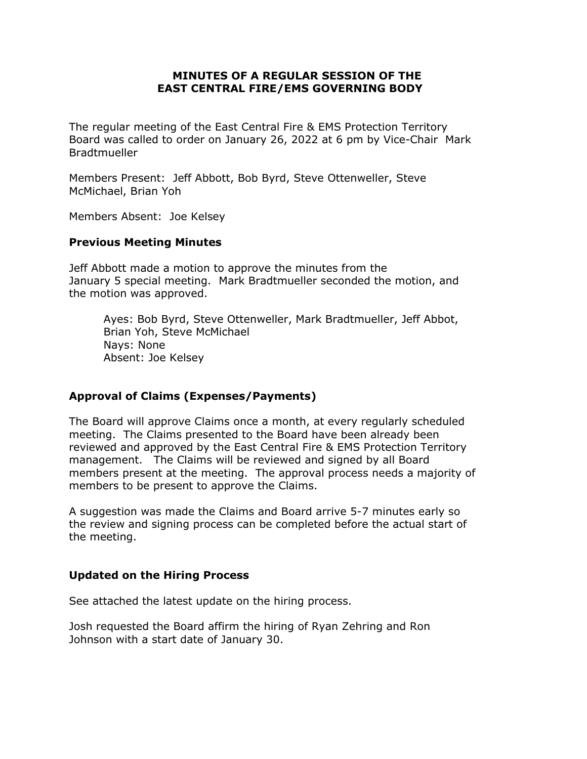### **MINUTES OF A REGULAR SESSION OF THE EAST CENTRAL FIRE/EMS GOVERNING BODY**

The regular meeting of the East Central Fire & EMS Protection Territory Board was called to order on January 26, 2022 at 6 pm by Vice-Chair Mark **Bradtmueller** 

Members Present: Jeff Abbott, Bob Byrd, Steve Ottenweller, Steve McMichael, Brian Yoh

Members Absent: Joe Kelsey

#### **Previous Meeting Minutes**

Jeff Abbott made a motion to approve the minutes from the January 5 special meeting. Mark Bradtmueller seconded the motion, and the motion was approved.

Ayes: Bob Byrd, Steve Ottenweller, Mark Bradtmueller, Jeff Abbot, Brian Yoh, Steve McMichael Nays: None Absent: Joe Kelsey

# **Approval of Claims (Expenses/Payments)**

The Board will approve Claims once a month, at every regularly scheduled meeting. The Claims presented to the Board have been already been reviewed and approved by the East Central Fire & EMS Protection Territory management. The Claims will be reviewed and signed by all Board members present at the meeting. The approval process needs a majority of members to be present to approve the Claims.

A suggestion was made the Claims and Board arrive 5-7 minutes early so the review and signing process can be completed before the actual start of the meeting.

#### **Updated on the Hiring Process**

See attached the latest update on the hiring process.

Josh requested the Board affirm the hiring of Ryan Zehring and Ron Johnson with a start date of January 30.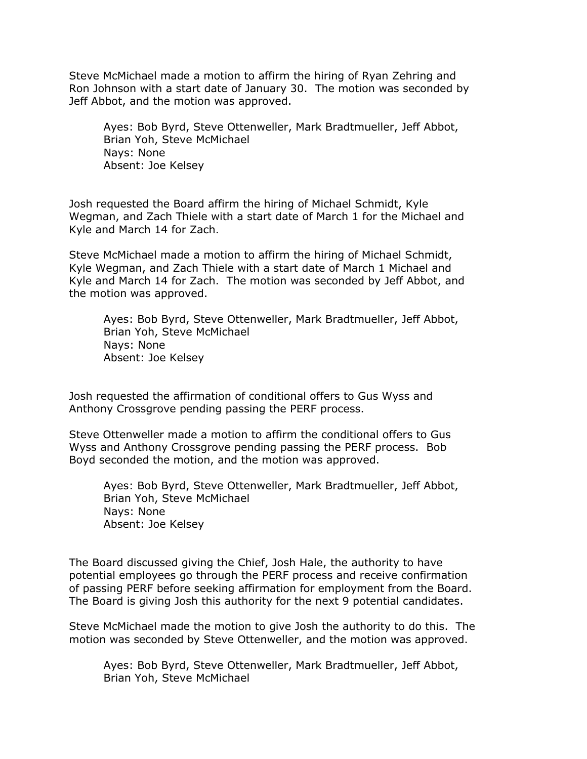Steve McMichael made a motion to affirm the hiring of Ryan Zehring and Ron Johnson with a start date of January 30. The motion was seconded by Jeff Abbot, and the motion was approved.

Ayes: Bob Byrd, Steve Ottenweller, Mark Bradtmueller, Jeff Abbot, Brian Yoh, Steve McMichael Nays: None Absent: Joe Kelsey

Josh requested the Board affirm the hiring of Michael Schmidt, Kyle Wegman, and Zach Thiele with a start date of March 1 for the Michael and Kyle and March 14 for Zach.

Steve McMichael made a motion to affirm the hiring of Michael Schmidt, Kyle Wegman, and Zach Thiele with a start date of March 1 Michael and Kyle and March 14 for Zach. The motion was seconded by Jeff Abbot, and the motion was approved.

Ayes: Bob Byrd, Steve Ottenweller, Mark Bradtmueller, Jeff Abbot, Brian Yoh, Steve McMichael Nays: None Absent: Joe Kelsey

Josh requested the affirmation of conditional offers to Gus Wyss and Anthony Crossgrove pending passing the PERF process.

Steve Ottenweller made a motion to affirm the conditional offers to Gus Wyss and Anthony Crossgrove pending passing the PERF process. Bob Boyd seconded the motion, and the motion was approved.

Ayes: Bob Byrd, Steve Ottenweller, Mark Bradtmueller, Jeff Abbot, Brian Yoh, Steve McMichael Nays: None Absent: Joe Kelsey

The Board discussed giving the Chief, Josh Hale, the authority to have potential employees go through the PERF process and receive confirmation of passing PERF before seeking affirmation for employment from the Board. The Board is giving Josh this authority for the next 9 potential candidates.

Steve McMichael made the motion to give Josh the authority to do this. The motion was seconded by Steve Ottenweller, and the motion was approved.

Ayes: Bob Byrd, Steve Ottenweller, Mark Bradtmueller, Jeff Abbot, Brian Yoh, Steve McMichael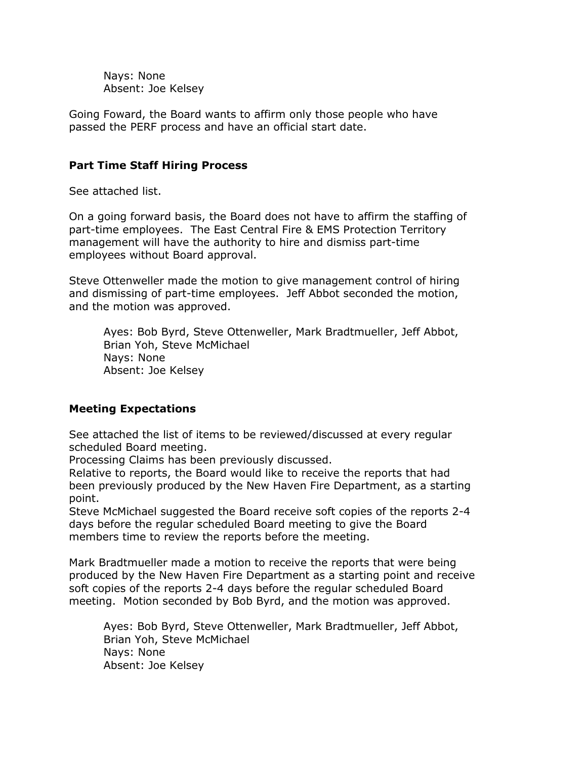Nays: None Absent: Joe Kelsey

Going Foward, the Board wants to affirm only those people who have passed the PERF process and have an official start date.

### **Part Time Staff Hiring Process**

See attached list.

On a going forward basis, the Board does not have to affirm the staffing of part-time employees. The East Central Fire & EMS Protection Territory management will have the authority to hire and dismiss part-time employees without Board approval.

Steve Ottenweller made the motion to give management control of hiring and dismissing of part-time employees. Jeff Abbot seconded the motion, and the motion was approved.

Ayes: Bob Byrd, Steve Ottenweller, Mark Bradtmueller, Jeff Abbot, Brian Yoh, Steve McMichael Nays: None Absent: Joe Kelsey

# **Meeting Expectations**

See attached the list of items to be reviewed/discussed at every regular scheduled Board meeting.

Processing Claims has been previously discussed.

Relative to reports, the Board would like to receive the reports that had been previously produced by the New Haven Fire Department, as a starting point.

Steve McMichael suggested the Board receive soft copies of the reports 2-4 days before the regular scheduled Board meeting to give the Board members time to review the reports before the meeting.

Mark Bradtmueller made a motion to receive the reports that were being produced by the New Haven Fire Department as a starting point and receive soft copies of the reports 2-4 days before the regular scheduled Board meeting. Motion seconded by Bob Byrd, and the motion was approved.

Ayes: Bob Byrd, Steve Ottenweller, Mark Bradtmueller, Jeff Abbot, Brian Yoh, Steve McMichael Nays: None Absent: Joe Kelsey